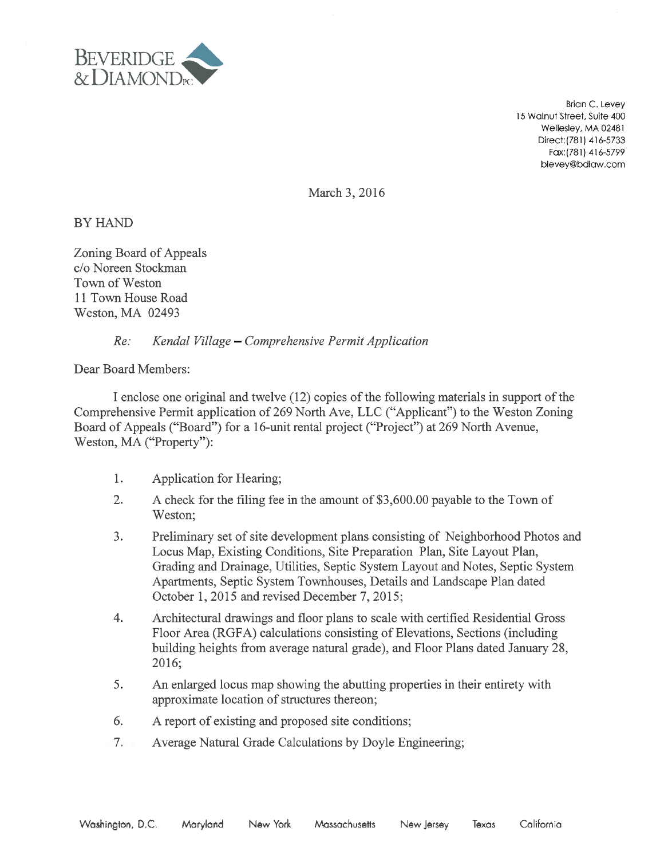

Brian C. Levey 15 Walnut Street, Suite 400 Wellesley, MA 02481 Direct:(781) 416-5733 Fax: (781) 416-5799 blevey@bdlaw.com

March 3, 2016

**BY HAND** 

Zoning Board of Appeals c/o Noreen Stockman Town of Weston 11 Town House Road Weston, MA 02493

### Re: Kendal Village —Comprehensive Permit Application

Dear Board Members:

I enclose one original and twelve (12) copies of the following materials in support of the Comprehensive Permit application of 269 North Ave, LLC ("Applicant") to the Weston Zoning Board of Appeals ("Board") for a 16-unit rental project ("Project") at 269 North Avenue, Weston, MA ("Property"):

- 1. Application for Hearing;
- 2. A check for the filing fee in the amount of \$3,600.00 payable to the Town of Weston;
- 3. Preliminary set of site development plans consisting of Neighborhood Photos and Locus Map, Existing Conditions, Site Preparation Plan, Site Layout Plan, Grading and Drainage, Utilities, Septic System Layout and Notes, Septic System Apartments, Septic System Townhouses, Details and Landscape Plan dated October 1, 2015 and revised December 7, 2015;
- 4. Architectural drawings and floor plans to scale with certified Residential Gross Floor Area (RGFA) calculations consisting of Elevations, Sections (including building heights from average natural grade), and Floor Plans dated January 28, 2016;
- 5. An enlarged locus map showing the abutting properties in their entirety with approximate location of structures thereon;
- 6. A report of existing and proposed site conditions;
- 7. Average Natural Grade Calculations by Doyle Engineering;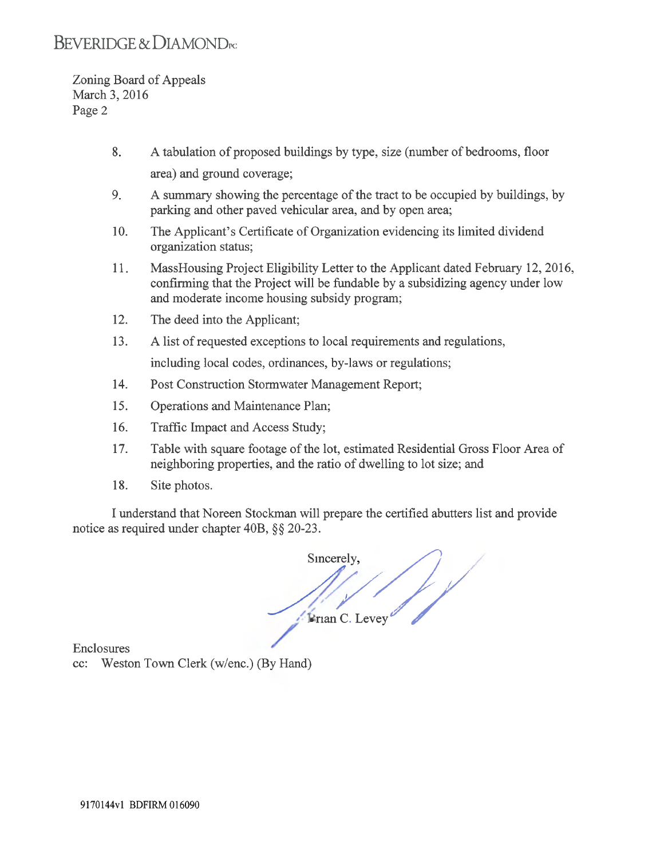# BEVERIDGE & DIAMOND<sub>PC</sub>

Zoning Board of Appeals March 3, 2016 Page 2

- 8. A tabulation of proposed buildings by type, size (number of bedrooms, floor area) and ground coverage;
- 9. A summary showing the percentage of the tract to be occupied by buildings, by parking and other paved vehicular area, and by open area;
- 10. The Applicant's Certificate of Organization evidencing its limited dividend organization status;
- 11. MassHousing Project Eligibility Letter to the Applicant dated February 12, 2016, confirming that the Project will be fundable by a subsidizing agency under low and moderate income housing subsidy program;
- 12. The deed into the Applicant;
- 13. A list of requested exceptions to local requirements and regulations,

including local codes, ordinances, by-laws or regulations;

- 14. Post Construction Stormwater Management Report;
- 15. Operations and Maintenance Plan;
- 16. Traffic Impact and Access Study;
- 17. Table with square footage of the lot, estimated Residential Gross Floor Area of neighboring properties, and the ratio of dwelling to lot size; and
- 18. Site photos.

I understand that Noreen Stockman will prepare the certified abutters list and provide notice as required under chapter 40B, §§ 20-23.

Sincerely F F Levey

Enclosures

cc: Weston Town Clerk (w/enc.) (By Hand)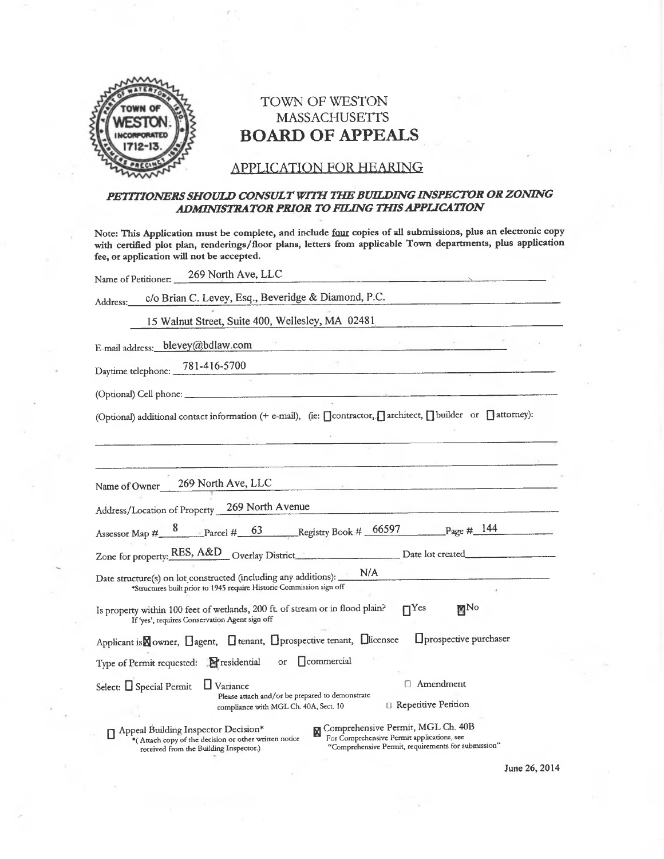

## TOWN OF WESTON  $MASSACHUSETTS$ BOARD OF APPEALS

### APPLICATION FOR HEARING

#### PETITIONERS SHOULD CONSULT WITH THE BUILDING INSPECTOR OR ZONING ADMINISTRATOR PRIOR TO FILING THIS APPLICATION

Note: This Application must be complete, and include four copies of all submissions, plus an electronic copy with certified plot plan, renderings/floor plans, letters from applicable Town departrnents, plus application fee, or application will not be accepted.

| Name of Petitioner: 269 North Ave, LLC                                                                                                                                                                                                                                                                                           |
|----------------------------------------------------------------------------------------------------------------------------------------------------------------------------------------------------------------------------------------------------------------------------------------------------------------------------------|
| c/o Brian C. Levey, Esq., Beveridge & Diamond, P.C.<br>Address:                                                                                                                                                                                                                                                                  |
| 15 Walnut Street, Suite 400, Wellesley, MA 02481                                                                                                                                                                                                                                                                                 |
| E-mail address: blevey@bdlaw.com                                                                                                                                                                                                                                                                                                 |
| Daytime telephone: 781-416-5700                                                                                                                                                                                                                                                                                                  |
|                                                                                                                                                                                                                                                                                                                                  |
| (Optional) additional contact information (+ e-mail), (ie: [contractor, [] architect, [] builder or [] attorney):                                                                                                                                                                                                                |
| <u> 1989 - John Barn Barn, amerikan bernama pada sebagai pertama pada sebagai pertama pertama pertama pertama per</u>                                                                                                                                                                                                            |
| Name of Owner 269 North Ave, LLC<br><u> 1999 - Jan James James James James James James James James James James James James James James James James J</u><br>Address/Location of Property 269 North Avenue<br><u> 1989 - Johann John Stone, market fransk konge og det større og store som som og store som som som som som s</u> |
| Assessor Map # 8 Parcel # 63 Registry Book # 66597 Page # 144                                                                                                                                                                                                                                                                    |
| Zone for property: RES, A&D Overlay District Date lot created                                                                                                                                                                                                                                                                    |
| Date structure(s) on lot constructed (including any additions): N/A<br>*Structures built prior to 1945 require Historic Commission sign off                                                                                                                                                                                      |
| $\Pi$ <sup>Yes</sup><br>MN <sub>o</sub><br>Is property within 100 feet of wetlands, 200 ft. of stream or in flood plain?<br>If 'yes', requires Conservation Agent sign off                                                                                                                                                       |
| <b>Oprospective purchaser</b><br>Applicant is Nowner, Dagent, Dtenant, Dprospective tenant, Dicensee                                                                                                                                                                                                                             |
| Type of Permit requested: Presidential or Commercial                                                                                                                                                                                                                                                                             |
| □ Amendment<br>Select: $\Box$ Special Permit<br>$\Box$ Variance<br>Please attach and/or be prepared to demonstrate<br><sup>1</sup> Repetitive Petition<br>compliance with MGL Ch. 40A, Sect. 10                                                                                                                                  |
| Comprehensive Permit, MGL Ch. 40B<br>Appeal Building Inspector Decision*<br><b>Color</b> Branch conflictions can                                                                                                                                                                                                                 |

\*( Attach copy of the decision or other written notice<br>received from the Building Inspector.) received from the Building Inspector.) "Comprehensive Permit, requirements for submission"

June 26, 2014